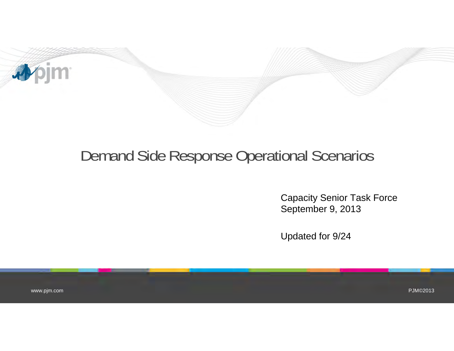

## Demand Side Response Operational Scenarios

Capacity Senior Task Force September 9, 2013

Updated for 9/24

www.pjm.com

PJM©2013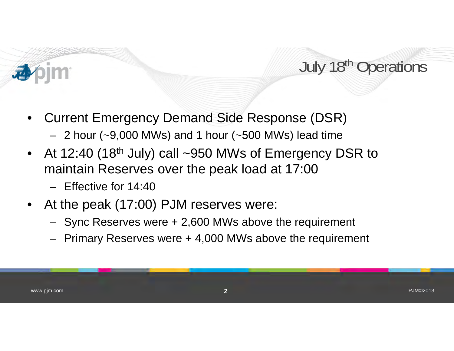## July 18<sup>th</sup> Operations

- • Current Emergency Demand Side Response (DSR)
	- 2 hour (~9,000 MWs) and 1 hour (~500 MWs) lead time
- $\bullet$ At 12:40 (18<sup>th</sup> July) call  $\sim$ 950 MWs of Emergency DSR to maintain Reserves over the peak load at 17:00
	- Effective for 14:40
- At the peak (17:00) PJM reserves were:
	- Sync Reserves were + 2,600 MWs above the requirement
	- Primary Reserves were + 4,000 MWs above the requirement

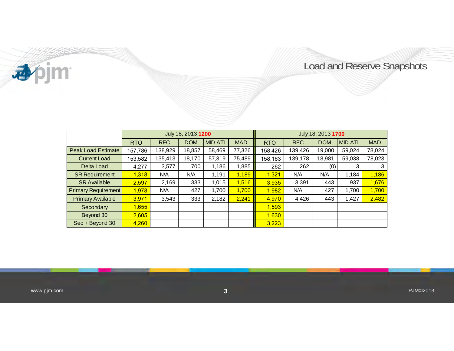apjm

## Load and Reserve Snapshots

|                            | July 18, 2013 1200 |            |            |                |            | July 18, 2013 1700 |            |            |                |            |
|----------------------------|--------------------|------------|------------|----------------|------------|--------------------|------------|------------|----------------|------------|
|                            | <b>RTO</b>         | <b>RFC</b> | <b>DOM</b> | <b>MID ATL</b> | <b>MAD</b> | <b>RTO</b>         | <b>RFC</b> | <b>DOM</b> | <b>MID ATL</b> | <b>MAD</b> |
| <b>Peak Load Estimate</b>  | 157,786            | 138,929    | 18,857     | 58,469         | 77,326     | 158,426            | 139.426    | 19.000     | 59,024         | 78,024     |
| <b>Current Load</b>        | 153,582            | 135,413    | 18,170     | 57,319         | 75,489     | 158,163            | 139.178    | 18,981     | 59,038         | 78,023     |
| Delta Load                 | 4,277              | 3,577      | 700        | 1,186          | 1,885      | 262                | 262        | (0)        | 3              | 3          |
| <b>SR Requirement</b>      | 1,318              | N/A        | N/A        | 1,191          | 1,189      | 1,321              | N/A        | N/A        | 1,184          | 1,186      |
| <b>SR Available</b>        | 2,597              | 2.169      | 333        | 1.015          | 1,516      | 3,935              | 3,391      | 443        | 937            | 1.676      |
| <b>Primary Requirement</b> | 1,978              | N/A        | 427        | 1.700          | 1,700      | 1,982              | N/A        | 427        | 1.700          | 1,700      |
| <b>Primary Available</b>   | 3,971              | 3,543      | 333        | 2,182          | 2,241      | 4,970              | 4,426      | 443        | 1,427          | 2,482      |
| Secondary                  | 1,655              |            |            |                |            | 1,593              |            |            |                |            |
| Beyond 30                  | 2,605              |            |            |                |            | 1,630              |            |            |                |            |
| Sec + Beyond 30            | 4,260              |            |            |                |            | 3,223              |            |            |                |            |